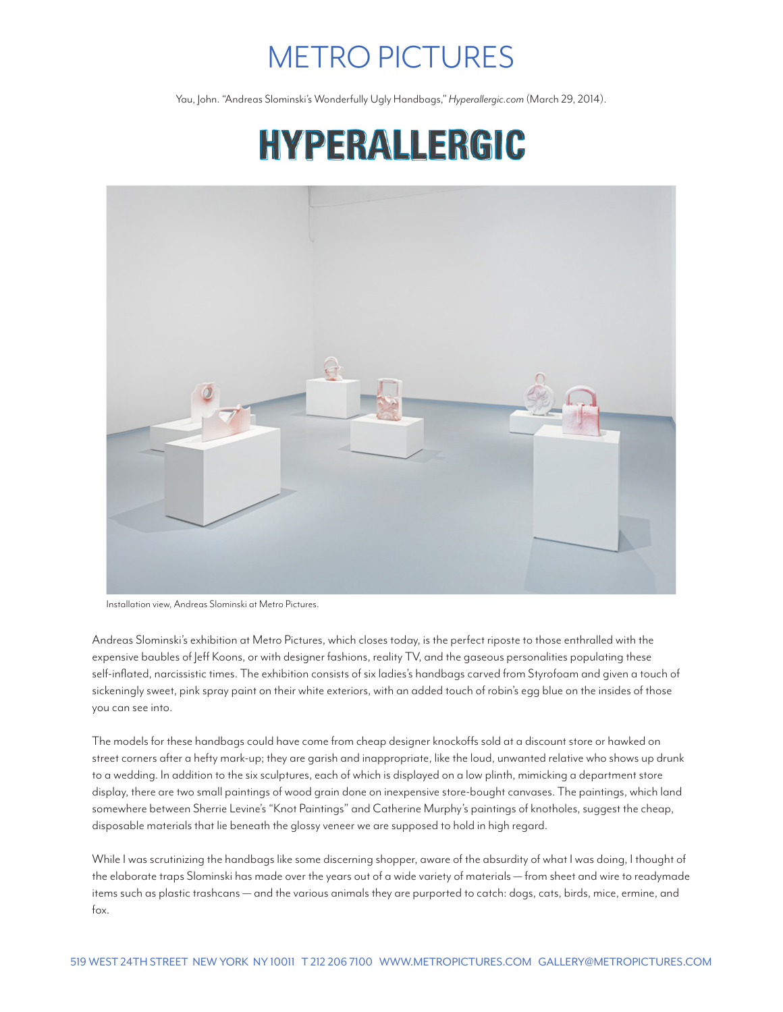## METRO PICTURES

Yau, John. "Andreas Slominski's Wonderfully Ugly Handbags," *Hyperallergic.com* (March 29, 2014).

## HYPERALLERGIC



Installation view, Andreas Slominski at Metro Pictures.

Andreas Slominski's exhibition at Metro Pictures, which closes today, is the perfect riposte to those enthralled with the expensive baubles of Jeff Koons, or with designer fashions, reality TV, and the gaseous personalities populating these self-inflated, narcissistic times. The exhibition consists of six ladies's handbags carved from Styrofoam and given a touch of sickeningly sweet, pink spray paint on their white exteriors, with an added touch of robin's egg blue on the insides of those you can see into.

The models for these handbags could have come from cheap designer knockoffs sold at a discount store or hawked on street corners after a hefty mark-up; they are garish and inappropriate, like the loud, unwanted relative who shows up drunk to a wedding. In addition to the six sculptures, each of which is displayed on a low plinth, mimicking a department store display, there are two small paintings of wood grain done on inexpensive store-bought canvases. The paintings, which land somewhere between Sherrie Levine's "Knot Paintings" and Catherine Murphy's paintings of knotholes, suggest the cheap, disposable materials that lie beneath the glossy veneer we are supposed to hold in high regard.

While I was scrutinizing the handbags like some discerning shopper, aware of the absurdity of what I was doing, I thought of the elaborate traps Slominski has made over the years out of a wide variety of materials — from sheet and wire to readymade items such as plastic trashcans — and the various animals they are purported to catch: dogs, cats, birds, mice, ermine, and fox.